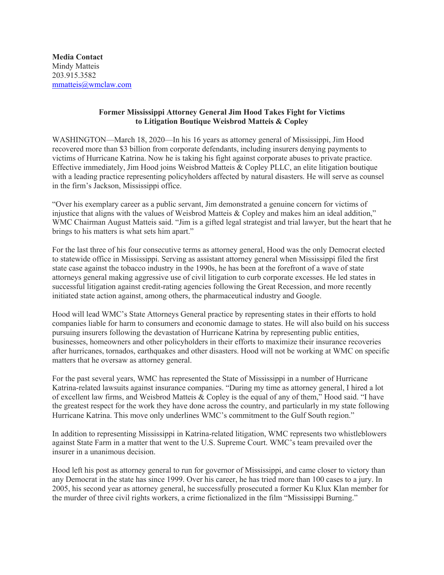**Media Contact** Mindy Matteis 203.915.3582 mmatteis@wmclaw.com

## **Former Mississippi Attorney General Jim Hood Takes Fight for Victims to Litigation Boutique Weisbrod Matteis & Copley**

WASHINGTON—March 18, 2020—In his 16 years as attorney general of Mississippi, Jim Hood recovered more than \$3 billion from corporate defendants, including insurers denying payments to victims of Hurricane Katrina. Now he is taking his fight against corporate abuses to private practice. Effective immediately, Jim Hood joins Weisbrod Matteis & Copley PLLC, an elite litigation boutique with a leading practice representing policyholders affected by natural disasters. He will serve as counsel in the firm's Jackson, Mississippi office.

"Over his exemplary career as a public servant, Jim demonstrated a genuine concern for victims of injustice that aligns with the values of Weisbrod Matteis & Copley and makes him an ideal addition," WMC Chairman August Matteis said. "Jim is a gifted legal strategist and trial lawyer, but the heart that he brings to his matters is what sets him apart."

For the last three of his four consecutive terms as attorney general, Hood was the only Democrat elected to statewide office in Mississippi. Serving as assistant attorney general when Mississippi filed the first state case against the tobacco industry in the 1990s, he has been at the forefront of a wave of state attorneys general making aggressive use of civil litigation to curb corporate excesses. He led states in successful litigation against credit-rating agencies following the Great Recession, and more recently initiated state action against, among others, the pharmaceutical industry and Google.

Hood will lead WMC's State Attorneys General practice by representing states in their efforts to hold companies liable for harm to consumers and economic damage to states. He will also build on his success pursuing insurers following the devastation of Hurricane Katrina by representing public entities, businesses, homeowners and other policyholders in their efforts to maximize their insurance recoveries after hurricanes, tornados, earthquakes and other disasters. Hood will not be working at WMC on specific matters that he oversaw as attorney general.

For the past several years, WMC has represented the State of Mississippi in a number of Hurricane Katrina-related lawsuits against insurance companies. "During my time as attorney general, I hired a lot of excellent law firms, and Weisbrod Matteis & Copley is the equal of any of them," Hood said. "I have the greatest respect for the work they have done across the country, and particularly in my state following Hurricane Katrina. This move only underlines WMC's commitment to the Gulf South region."

In addition to representing Mississippi in Katrina-related litigation, WMC represents two whistleblowers against State Farm in a matter that went to the U.S. Supreme Court. WMC's team prevailed over the insurer in a unanimous decision.

Hood left his post as attorney general to run for governor of Mississippi, and came closer to victory than any Democrat in the state has since 1999. Over his career, he has tried more than 100 cases to a jury. In 2005, his second year as attorney general, he successfully prosecuted a former Ku Klux Klan member for the murder of three civil rights workers, a crime fictionalized in the film "Mississippi Burning."